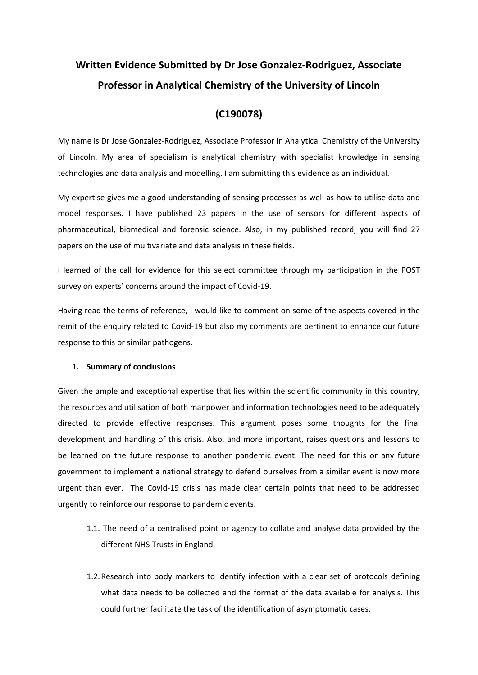# **Written Evidence Submitted by Dr Jose Gonzalez-Rodriguez, Associate Professor in Analytical Chemistry of the University of Lincoln**

#### **(C190078)**

My name is Dr Jose Gonzalez-Rodriguez, Associate Professor in Analytical Chemistry of the University of Lincoln. My area of specialism is analytical chemistry with specialist knowledge in sensing technologies and data analysis and modelling. I am submitting this evidence as an individual.

My expertise gives me a good understanding of sensing processes as well as how to utilise data and model responses. I have published 23 papers in the use of sensors for different aspects of pharmaceutical, biomedical and forensic science. Also, in my published record, you will find 27 papers on the use of multivariate and data analysis in these fields.

I learned of the call for evidence for this select committee through my participation in the POST survey on experts' concerns around the impact of Covid-19.

Having read the terms of reference, I would like to comment on some of the aspects covered in the remit of the enquiry related to Covid-19 but also my comments are pertinent to enhance our future response to this or similar pathogens.

#### **1. Summary of conclusions**

Given the ample and exceptional expertise that lies within the scientific community in this country, the resources and utilisation of both manpower and information technologies need to be adequately directed to provide effective responses. This argument poses some thoughts for the final development and handling of this crisis. Also, and more important, raises questions and lessons to be learned on the future response to another pandemic event. The need for this or any future government to implement a national strategy to defend ourselves from a similar event is now more urgent than ever. The Covid-19 crisis has made clear certain points that need to be addressed urgently to reinforce our response to pandemic events.

- 1.1. The need of a centralised point or agency to collate and analyse data provided by the different NHS Trusts in England.
- 1.2.Research into body markers to identify infection with a clear set of protocols defining what data needs to be collected and the format of the data available for analysis. This could further facilitate the task of the identification of asymptomatic cases.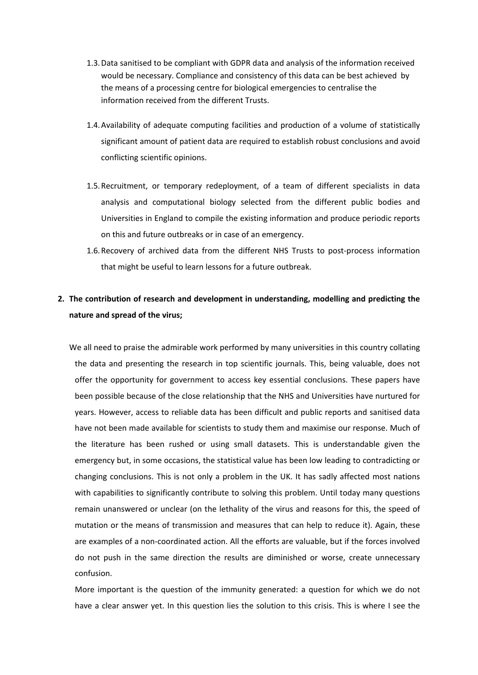- 1.3.Data sanitised to be compliant with GDPR data and analysis of the information received would be necessary. Compliance and consistency of this data can be best achieved by the means of a processing centre for biological emergencies to centralise the information received from the different Trusts.
- 1.4.Availability of adequate computing facilities and production of a volume of statistically significant amount of patient data are required to establish robust conclusions and avoid conflicting scientific opinions.
- 1.5.Recruitment, or temporary redeployment, of a team of different specialists in data analysis and computational biology selected from the different public bodies and Universities in England to compile the existing information and produce periodic reports on this and future outbreaks or in case of an emergency.
- 1.6.Recovery of archived data from the different NHS Trusts to post-process information that might be useful to learn lessons for a future outbreak.

## **2. The contribution of research and development in understanding, modelling and predicting the nature and spread of the virus;**

We all need to praise the admirable work performed by many universities in this country collating the data and presenting the research in top scientific journals. This, being valuable, does not offer the opportunity for government to access key essential conclusions. These papers have been possible because of the close relationship that the NHS and Universities have nurtured for years. However, access to reliable data has been difficult and public reports and sanitised data have not been made available for scientists to study them and maximise our response. Much of the literature has been rushed or using small datasets. This is understandable given the emergency but, in some occasions, the statistical value has been low leading to contradicting or changing conclusions. This is not only a problem in the UK. It has sadly affected most nations with capabilities to significantly contribute to solving this problem. Until today many questions remain unanswered or unclear (on the lethality of the virus and reasons for this, the speed of mutation or the means of transmission and measures that can help to reduce it). Again, these are examples of a non-coordinated action. All the efforts are valuable, but if the forces involved do not push in the same direction the results are diminished or worse, create unnecessary confusion.

More important is the question of the immunity generated: a question for which we do not have a clear answer yet. In this question lies the solution to this crisis. This is where I see the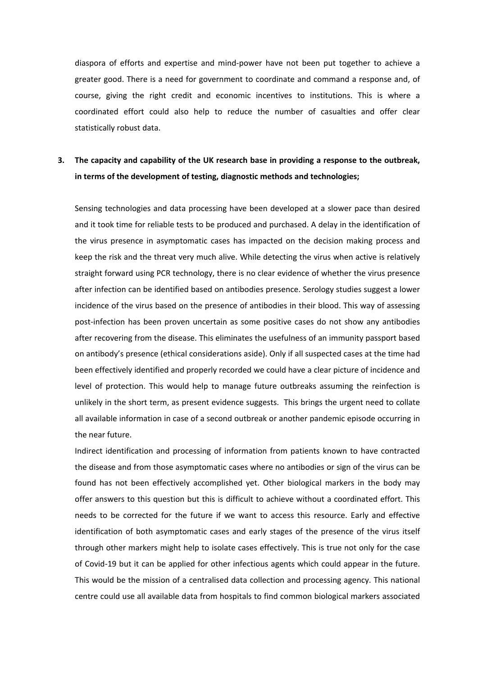diaspora of efforts and expertise and mind-power have not been put together to achieve a greater good. There is a need for government to coordinate and command a response and, of course, giving the right credit and economic incentives to institutions. This is where a coordinated effort could also help to reduce the number of casualties and offer clear statistically robust data.

### **3. The capacity and capability of the UK research base in providing a response to the outbreak, in terms of the development of testing, diagnostic methods and technologies;**

Sensing technologies and data processing have been developed at a slower pace than desired and it took time for reliable tests to be produced and purchased. A delay in the identification of the virus presence in asymptomatic cases has impacted on the decision making process and keep the risk and the threat very much alive. While detecting the virus when active is relatively straight forward using PCR technology, there is no clear evidence of whether the virus presence after infection can be identified based on antibodies presence. Serology studies suggest a lower incidence of the virus based on the presence of antibodies in their blood. This way of assessing post-infection has been proven uncertain as some positive cases do not show any antibodies after recovering from the disease. This eliminates the usefulness of an immunity passport based on antibody's presence (ethical considerations aside). Only if all suspected cases at the time had been effectively identified and properly recorded we could have a clear picture of incidence and level of protection. This would help to manage future outbreaks assuming the reinfection is unlikely in the short term, as present evidence suggests. This brings the urgent need to collate all available information in case of a second outbreak or another pandemic episode occurring in the near future.

Indirect identification and processing of information from patients known to have contracted the disease and from those asymptomatic cases where no antibodies or sign of the virus can be found has not been effectively accomplished yet. Other biological markers in the body may offer answers to this question but this is difficult to achieve without a coordinated effort. This needs to be corrected for the future if we want to access this resource. Early and effective identification of both asymptomatic cases and early stages of the presence of the virus itself through other markers might help to isolate cases effectively. This is true not only for the case of Covid-19 but it can be applied for other infectious agents which could appear in the future. This would be the mission of a centralised data collection and processing agency. This national centre could use all available data from hospitals to find common biological markers associated